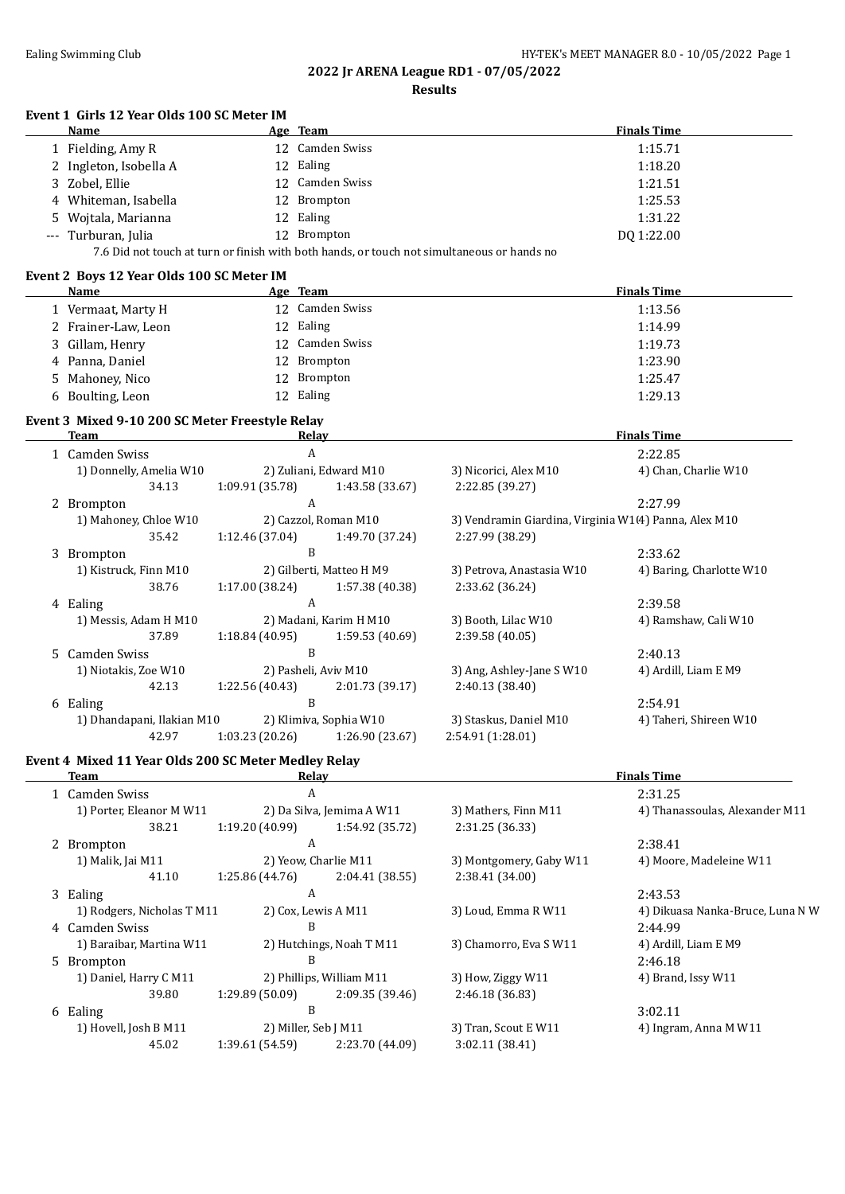$\overline{a}$ 

#### **2022 Jr ARENA League RD1 - 07/05/2022 Results**

#### **Event 1 Girls 12 Year Olds 100 SC Meter IM**

| Name                                                                                       |  | Age Team        | <b>Finals Time</b> |  |  |
|--------------------------------------------------------------------------------------------|--|-----------------|--------------------|--|--|
| 1 Fielding, Amy R                                                                          |  | 12 Camden Swiss | 1:15.71            |  |  |
| 2 Ingleton, Isobella A                                                                     |  | 12 Ealing       | 1:18.20            |  |  |
| 3 Zobel, Ellie                                                                             |  | 12 Camden Swiss | 1:21.51            |  |  |
| 4 Whiteman, Isabella                                                                       |  | 12 Brompton     | 1:25.53            |  |  |
| 5 Wojtala, Marianna                                                                        |  | 12 Ealing       | 1:31.22            |  |  |
| --- Turburan, Julia                                                                        |  | 12 Brompton     | DO 1:22.00         |  |  |
| 7.6 Did not touch at turn or finish with both hands, or touch not simultaneous or hands no |  |                 |                    |  |  |

#### **Event 2 Boys 12 Year Olds 100 SC Meter IM**

| Name                 | Age Team        | <b>Finals Time</b> |
|----------------------|-----------------|--------------------|
| 1 Vermaat, Marty H   | 12 Camden Swiss | 1:13.56            |
| 2 Frainer-Law, Leon  | 12 Ealing       | 1:14.99            |
| 3 Gillam, Henry      | 12 Camden Swiss | 1:19.73            |
| 4 Panna, Daniel      | 12 Brompton     | 1:23.90            |
| 5 Mahoney, Nico      | 12 Brompton     | 1:25.47            |
| Boulting, Leon<br>6. | 12 Ealing       | 1:29.13            |

# **Event 3 Mixed 9-10 200 SC Meter Freestyle Relay**

| Team                       | Relay                |                          |                                                       | <b>Finals Time</b>       |
|----------------------------|----------------------|--------------------------|-------------------------------------------------------|--------------------------|
| 1 Camden Swiss<br>A        |                      |                          | 2:22.85                                               |                          |
| 1) Donnelly, Amelia W10    |                      | 2) Zuliani, Edward M10   | 3) Nicorici, Alex M10                                 | 4) Chan, Charlie W10     |
| 34.13                      | 1:09.91(35.78)       | 1:43.58 (33.67)          | 2:22.85 (39.27)                                       |                          |
| 2 Brompton                 | A                    |                          |                                                       | 2:27.99                  |
| 1) Mahoney, Chloe W10      |                      | 2) Cazzol, Roman M10     | 3) Vendramin Giardina, Virginia W1(4) Panna, Alex M10 |                          |
| 35.42                      | 1:12.46(37.04)       | 1:49.70 (37.24)          | 2:27.99 (38.29)                                       |                          |
| 3 Brompton                 | B                    |                          |                                                       | 2:33.62                  |
| 1) Kistruck, Finn M10      |                      | 2) Gilberti, Matteo H M9 | 3) Petrova, Anastasia W10                             | 4) Baring, Charlotte W10 |
| 38.76                      | 1:17.00(38.24)       | 1:57.38 (40.38)          | 2:33.62 (36.24)                                       |                          |
| 4 Ealing                   | A                    |                          |                                                       | 2:39.58                  |
| 1) Messis, Adam H M10      |                      | 2) Madani, Karim H M10   | 3) Booth, Lilac W10                                   | 4) Ramshaw, Cali W10     |
| 37.89                      | 1:18.84(40.95)       | 1:59.53(40.69)           | 2:39.58 (40.05)                                       |                          |
| 5 Camden Swiss             | B                    |                          |                                                       | 2:40.13                  |
| 1) Niotakis, Zoe W10       | 2) Pasheli, Aviv M10 |                          | 3) Ang, Ashley-Jane S W10                             | 4) Ardill, Liam E M9     |
| 42.13                      | 1:22.56 (40.43)      | 2:01.73(39.17)           | 2:40.13 (38.40)                                       |                          |
| 6 Ealing                   | B                    |                          |                                                       | 2:54.91                  |
| 1) Dhandapani, Ilakian M10 |                      | 2) Klimiva, Sophia W10   | 3) Staskus, Daniel M10                                | 4) Taheri, Shireen W10   |
| 42.97                      | 1:03.23(20.26)       | 1:26.90 (23.67)          | 2:54.91 (1:28.01)                                     |                          |
|                            |                      |                          |                                                       |                          |

#### **Event 4 Mixed 11 Year Olds 200 SC Meter Medley Relay**

| Relay<br>Team              |                      |                           | <b>Finals Time</b>      |                                  |  |
|----------------------------|----------------------|---------------------------|-------------------------|----------------------------------|--|
| 1 Camden Swiss<br>A        |                      |                           | 2:31.25                 |                                  |  |
| 1) Porter, Eleanor M W11   |                      | 2) Da Silva, Jemima A W11 | 3) Mathers, Finn M11    | 4) Thanassoulas, Alexander M11   |  |
| 38.21                      | 1:19.20(40.99)       | 1:54.92 (35.72)           | 2:31.25 (36.33)         |                                  |  |
| 2 Brompton                 | A                    |                           |                         | 2:38.41                          |  |
| 1) Malik, Jai M11          | 2) Yeow, Charlie M11 |                           | 3) Montgomery, Gaby W11 | 4) Moore, Madeleine W11          |  |
| 41.10                      | 1:25.86(44.76)       | 2:04.41 (38.55)           | 2:38.41 (34.00)         |                                  |  |
| 3 Ealing                   | A                    |                           |                         | 2:43.53                          |  |
| 1) Rodgers, Nicholas T M11 | 2) Cox, Lewis A M11  |                           | 3) Loud, Emma R W11     | 4) Dikuasa Nanka-Bruce, Luna N W |  |
| 4 Camden Swiss             | B                    |                           |                         | 2:44.99                          |  |
| 1) Baraibar, Martina W11   |                      | 2) Hutchings, Noah T M11  | 3) Chamorro, Eva S W11  | 4) Ardill, Liam E M9             |  |
| 5 Brompton                 | B                    |                           |                         | 2:46.18                          |  |
| 1) Daniel, Harry C M11     |                      | 2) Phillips, William M11  | 3) How, Ziggy W11       | 4) Brand, Issy W11               |  |
| 39.80                      | 1:29.89(50.09)       | 2:09.35 (39.46)           | 2:46.18 (36.83)         |                                  |  |
| 6 Ealing                   | B                    |                           |                         | 3:02.11                          |  |
| 1) Hovell, Josh B M11      | 2) Miller, Seb J M11 |                           | 3) Tran, Scout E W11    | 4) Ingram, Anna M W11            |  |
| 45.02                      | 1:39.61(54.59)       | 2:23.70 (44.09)           | 3:02.11 (38.41)         |                                  |  |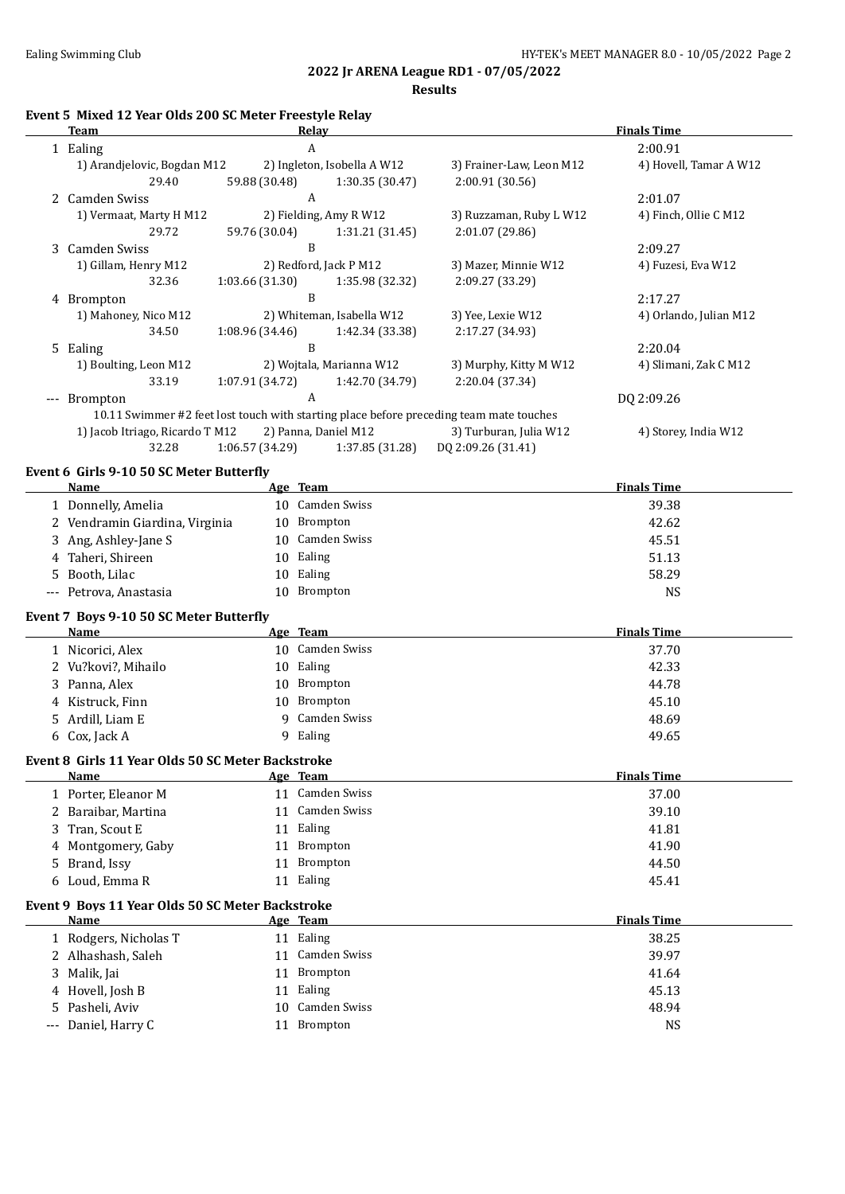#### **2022 Jr ARENA League RD1 - 07/05/2022 Results**

| Event 5 Mixed 12 Year Olds 200 SC Meter Freestyle Relay |                             |                          |                    |  |  |
|---------------------------------------------------------|-----------------------------|--------------------------|--------------------|--|--|
| Team                                                    | Relav                       |                          | <b>Finals Time</b> |  |  |
| 1 Ealing                                                |                             |                          | 2:00.91            |  |  |
| 1) Arandielovic, Bogdan M12                             | 2) Ingleton, Isobella A W12 | 3) Frainer-Law, Leon M12 | 4) Hove            |  |  |

|     | Team                            | Relay                |                             |                                                                                         | <b>Finals Time</b>     |
|-----|---------------------------------|----------------------|-----------------------------|-----------------------------------------------------------------------------------------|------------------------|
|     | 1 Ealing                        | A                    |                             |                                                                                         | 2:00.91                |
|     | 1) Arandjelovic, Bogdan M12     |                      | 2) Ingleton, Isobella A W12 | 3) Frainer-Law, Leon M12                                                                | 4) Hovell, Tamar A W12 |
|     | 29.40                           | 59.88 (30.48)        | 1:30.35(30.47)              | 2:00.91(30.56)                                                                          |                        |
|     | 2 Camden Swiss                  | A                    |                             |                                                                                         | 2:01.07                |
|     | 1) Vermaat, Marty H M12         |                      | 2) Fielding, Amy R W12      | 3) Ruzzaman, Ruby L W12                                                                 | 4) Finch, Ollie C M12  |
|     | 29.72                           | 59.76 (30.04)        | 1:31.21 (31.45)             | 2:01.07(29.86)                                                                          |                        |
|     | 3 Camden Swiss                  | B                    |                             |                                                                                         | 2:09.27                |
|     | 1) Gillam, Henry M12            |                      | 2) Redford, Jack P M12      | 3) Mazer, Minnie W12                                                                    | 4) Fuzesi, Eva W12     |
|     | 32.36                           | 1:03.66 (31.30)      | 1:35.98 (32.32)             | 2:09.27 (33.29)                                                                         |                        |
| 4   | <b>Brompton</b>                 | B                    |                             |                                                                                         | 2:17.27                |
|     | 1) Mahoney, Nico M12            |                      | 2) Whiteman, Isabella W12   | 3) Yee, Lexie W12                                                                       | 4) Orlando, Julian M12 |
|     | 34.50                           | 1:08.96 (34.46)      | 1:42.34 (33.38)             | 2:17.27 (34.93)                                                                         |                        |
|     | 5 Ealing                        | B                    |                             |                                                                                         | 2:20.04                |
|     | 1) Boulting, Leon M12           |                      | 2) Wojtala, Marianna W12    | 3) Murphy, Kitty M W12                                                                  | 4) Slimani, Zak C M12  |
|     | 33.19                           | 1:07.91 (34.72)      | 1:42.70 (34.79)             | 2:20.04 (37.34)                                                                         |                        |
| --- | <b>Brompton</b>                 | A                    |                             |                                                                                         | DQ 2:09.26             |
|     |                                 |                      |                             | 10.11 Swimmer #2 feet lost touch with starting place before preceding team mate touches |                        |
|     | 1) Jacob Itriago, Ricardo T M12 | 2) Panna, Daniel M12 |                             | 3) Turburan, Julia W12                                                                  | 4) Storey, India W12   |
|     | 32.28                           | 1:06.57(34.29)       | 1:37.85 (31.28)             | DQ 2:09.26 (31.41)                                                                      |                        |

# **Event 6 Girls 9-10 50 SC Meter Butterfly**

| <b>Name</b>                                       |    | Age Team        | <b>Finals Time</b> |
|---------------------------------------------------|----|-----------------|--------------------|
| 1 Donnelly, Amelia                                |    | 10 Camden Swiss | 39.38              |
| 2 Vendramin Giardina, Virginia                    | 10 | Brompton        | 42.62              |
| Ang, Ashley-Jane S<br>3                           | 10 | Camden Swiss    | 45.51              |
| Taheri, Shireen<br>4                              | 10 | Ealing          | 51.13              |
| Booth, Lilac<br>5.                                | 10 | Ealing          | 58.29              |
| Petrova, Anastasia<br>$---$                       | 10 | <b>Brompton</b> | <b>NS</b>          |
| Event 7 Boys 9-10 50 SC Meter Butterfly           |    |                 |                    |
| <b>Name</b>                                       |    | Age Team        | <b>Finals Time</b> |
| 1 Nicorici, Alex                                  |    | 10 Camden Swiss | 37.70              |
| 2 Vu?kovi?, Mihailo                               | 10 | Ealing          | 42.33              |
| Panna, Alex<br>3                                  | 10 | <b>Brompton</b> | 44.78              |
| 4 Kistruck, Finn                                  | 10 | <b>Brompton</b> | 45.10              |
| Ardill, Liam E<br>5.                              | q  | Camden Swiss    | 48.69              |
| 6 Cox, Jack A                                     |    | 9 Ealing        | 49.65              |
| Event 8 Girls 11 Year Olds 50 SC Meter Backstroke |    |                 |                    |
| Name                                              |    | Age Team        | <b>Finals Time</b> |
| 1 Porter, Eleanor M                               |    | 11 Camden Swiss | 37.00              |
| 2 Baraibar, Martina                               |    | 11 Camden Swiss | 39.10              |
| Tran, Scout E<br>3                                | 11 | Ealing          | 41.81              |
| 4 Montgomery, Gaby                                |    | 11 Brompton     | 41.90              |
| Brand, Issy<br>5                                  | 11 | <b>Brompton</b> | 44.50              |
| 6 Loud, Emma R                                    |    | 11 Ealing       | 45.41              |
| Event 9 Boys 11 Year Olds 50 SC Meter Backstroke  |    |                 |                    |
| Name                                              |    | Age Team        | <b>Finals Time</b> |
| 1 Rodgers, Nicholas T                             |    | 11 Ealing       | 38.25              |
| 2 Alhashash, Saleh                                |    | 11 Camden Swiss | 39.97              |
| Malik, Jai<br>3                                   | 11 | Brompton        | 41.64              |
| 4 Hovell, Josh B                                  | 11 | Ealing          | 45.13              |
| 5 Pasheli, Aviv                                   |    | 10 Camden Swiss | 48.94              |

--- Daniel, Harry C 11 Brompton 11 Brompton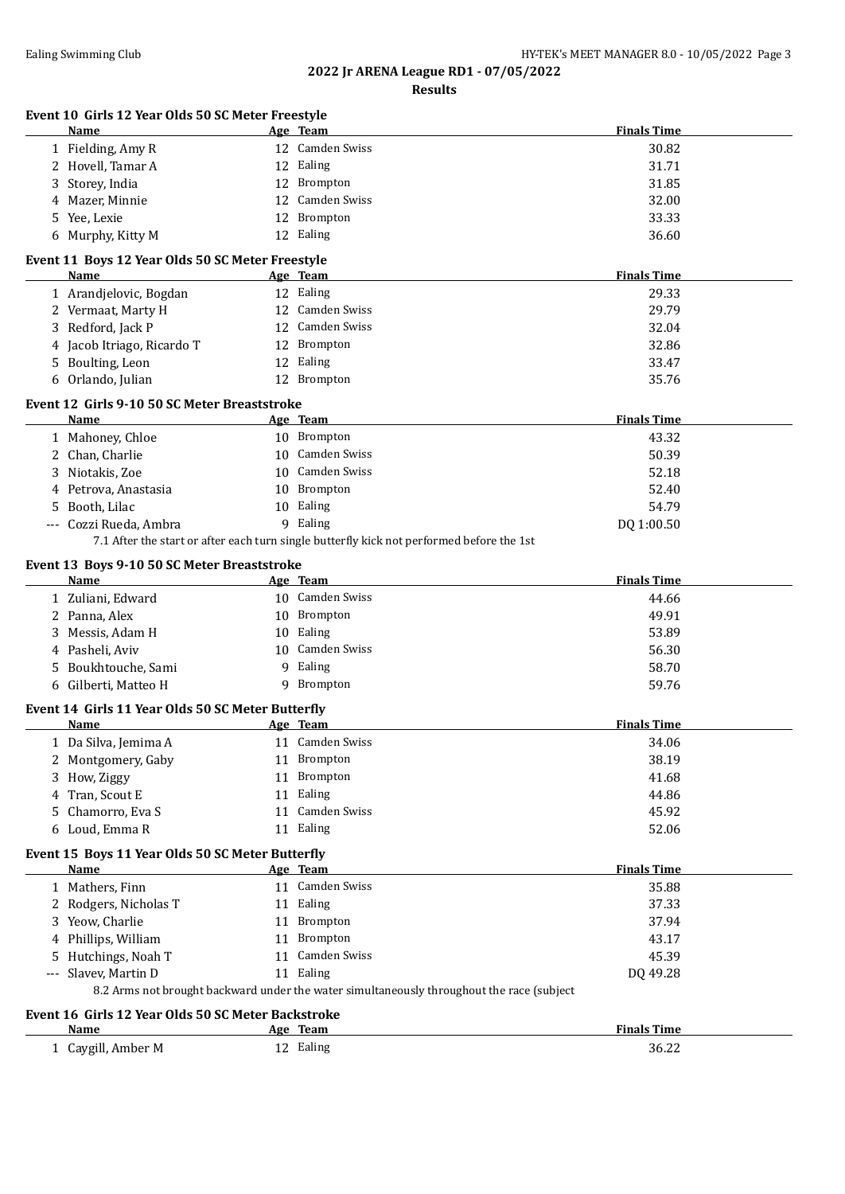# **2022 Jr ARENA League RD1 - 07/05/2022**

**Results**

|             | Event 10 Girls 12 Year Olds 50 SC Meter Freestyle<br>Name  |    | Age Team                                                                                  | <b>Finals Time</b> |
|-------------|------------------------------------------------------------|----|-------------------------------------------------------------------------------------------|--------------------|
|             | 1 Fielding, Amy R                                          |    | 12 Camden Swiss                                                                           | 30.82              |
|             | 2 Hovell, Tamar A                                          |    | 12 Ealing                                                                                 | 31.71              |
| 3           | Storey, India                                              |    | 12 Brompton                                                                               | 31.85              |
| 4           | Mazer, Minnie                                              |    | 12 Camden Swiss                                                                           | 32.00              |
| 5.          | Yee, Lexie                                                 | 12 | Brompton                                                                                  | 33.33              |
|             | 6 Murphy, Kitty M                                          |    | 12 Ealing                                                                                 | 36.60              |
|             |                                                            |    |                                                                                           |                    |
|             | Event 11 Boys 12 Year Olds 50 SC Meter Freestyle<br>Name   |    | Age Team                                                                                  | <b>Finals Time</b> |
|             | 1 Arandjelovic, Bogdan                                     |    | 12 Ealing                                                                                 | 29.33              |
|             | 2 Vermaat, Marty H                                         |    | 12 Camden Swiss                                                                           | 29.79              |
|             | 3 Redford, Jack P                                          |    | 12 Camden Swiss                                                                           | 32.04              |
|             | 4 Jacob Itriago, Ricardo T                                 |    | 12 Brompton                                                                               | 32.86              |
|             | 5 Boulting, Leon                                           |    | 12 Ealing                                                                                 | 33.47              |
|             | 6 Orlando, Julian                                          |    | 12 Brompton                                                                               | 35.76              |
|             |                                                            |    |                                                                                           |                    |
|             | Event 12 Girls 9-10 50 SC Meter Breaststroke<br>Name       |    | Age Team                                                                                  | <b>Finals Time</b> |
|             |                                                            |    | 10 Brompton                                                                               | 43.32              |
|             | 1 Mahoney, Chloe                                           |    | 10 Camden Swiss                                                                           |                    |
|             | 2 Chan, Charlie                                            |    | 10 Camden Swiss                                                                           | 50.39              |
|             | 3 Niotakis, Zoe                                            |    |                                                                                           | 52.18              |
|             | 4 Petrova, Anastasia                                       |    | 10 Brompton                                                                               | 52.40              |
| 5.          | Booth, Lilac                                               |    | 10 Ealing                                                                                 | 54.79              |
| $\cdots$    | Cozzi Rueda, Ambra                                         |    | 9 Ealing                                                                                  | DQ 1:00.50         |
|             |                                                            |    | 7.1 After the start or after each turn single butterfly kick not performed before the 1st |                    |
|             | Event 13 Boys 9-10 50 SC Meter Breaststroke<br><b>Name</b> |    | <u>Age Team</u>                                                                           | <b>Finals Time</b> |
|             | 1 Zuliani, Edward                                          |    | 10 Camden Swiss                                                                           | 44.66              |
|             | 2 Panna, Alex                                              |    | 10 Brompton                                                                               | 49.91              |
|             | 3 Messis, Adam H                                           |    | 10 Ealing                                                                                 | 53.89              |
|             | 4 Pasheli, Aviv                                            |    | 10 Camden Swiss                                                                           | 56.30              |
| 5.          | Boukhtouche, Sami                                          |    | 9 Ealing                                                                                  | 58.70              |
|             | 6 Gilberti, Matteo H                                       |    | 9 Brompton                                                                                | 59.76              |
|             |                                                            |    |                                                                                           |                    |
|             | Event 14 Girls 11 Year Olds 50 SC Meter Butterfly          |    |                                                                                           |                    |
|             | Name                                                       |    | Age Team                                                                                  | <b>Finals Time</b> |
|             | 1 Da Silva, Jemima A                                       |    | 11 Camden Swiss                                                                           | 34.06              |
|             | 2 Montgomery, Gaby                                         |    | 11 Brompton                                                                               | 38.19              |
| 3.          | How, Ziggy                                                 |    | 11 Brompton                                                                               | 41.68              |
| 4           | Tran, Scout E                                              |    | 11 Ealing                                                                                 | 44.86              |
| 5.          | Chamorro, Eva S                                            |    | 11 Camden Swiss                                                                           | 45.92              |
|             | 6 Loud, Emma R                                             |    | 11 Ealing                                                                                 | 52.06              |
|             | Event 15 Boys 11 Year Olds 50 SC Meter Butterfly           |    |                                                                                           |                    |
|             | <b>Name</b>                                                |    | Age Team                                                                                  | <b>Finals Time</b> |
|             | 1 Mathers, Finn                                            |    | 11 Camden Swiss                                                                           | 35.88              |
|             | 2 Rodgers, Nicholas T                                      |    | 11 Ealing                                                                                 | 37.33              |
|             | 3 Yeow, Charlie                                            |    | 11 Brompton                                                                               | 37.94              |
|             | 4 Phillips, William                                        |    | 11 Brompton                                                                               | 43.17              |
|             | Hutchings, Noah T                                          |    | 11 Camden Swiss                                                                           | 45.39              |
| $-\, -\, -$ | Slavev, Martin D                                           |    | 11 Ealing                                                                                 | DQ 49.28           |
|             |                                                            |    | 8.2 Arms not brought backward under the water simultaneously throughout the race (subject |                    |
|             |                                                            |    |                                                                                           |                    |
|             | Event 16 Girls 12 Year Olds 50 SC Meter Backstroke<br>Name |    | Age Team                                                                                  | <b>Finals Time</b> |
|             | 1 Caygill, Amber M                                         |    | 12 Ealing                                                                                 | 36.22              |
|             |                                                            |    |                                                                                           |                    |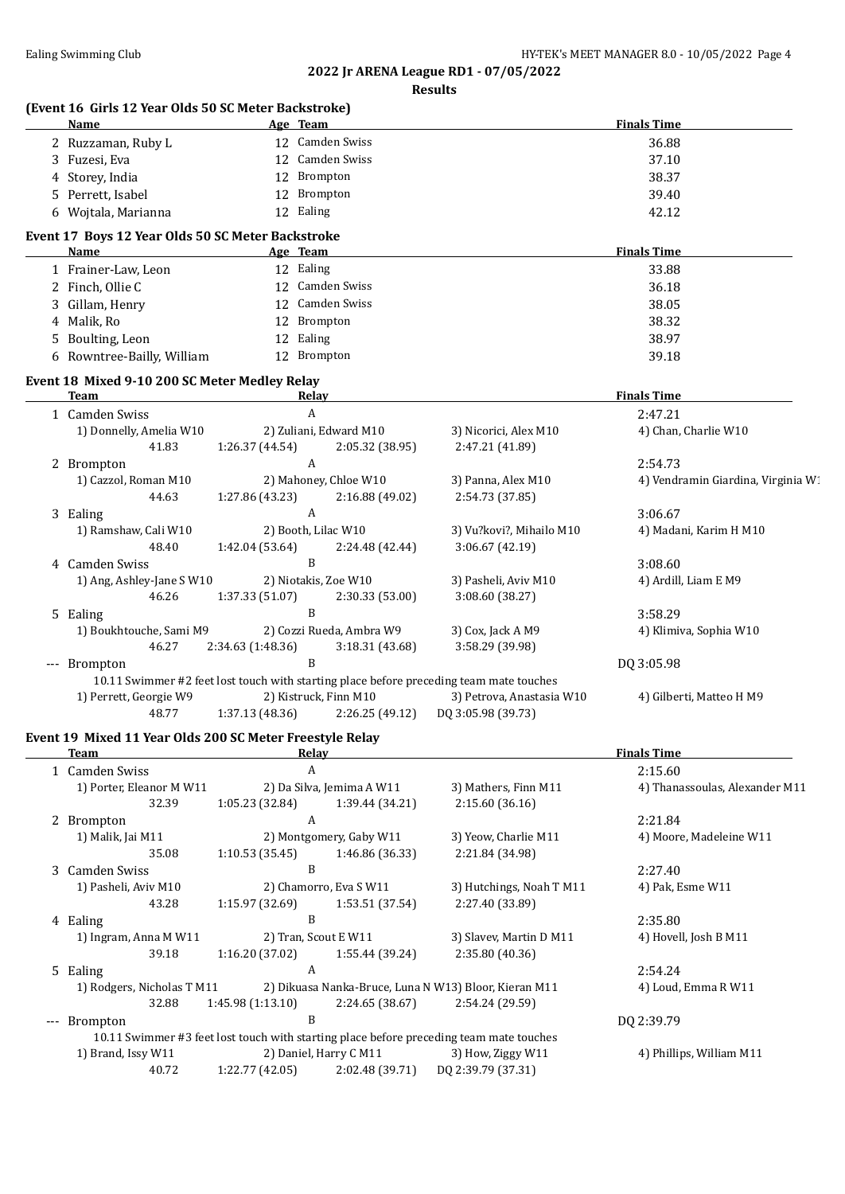#### **2022 Jr ARENA League RD1 - 07/05/2022 Results**

| (Event 16 Girls 12 Year Olds 50 SC Meter Backstroke)<br><b>Name</b> | Age Team                  |                 |                                                                                         | <b>Finals Time</b>                 |
|---------------------------------------------------------------------|---------------------------|-----------------|-----------------------------------------------------------------------------------------|------------------------------------|
| 2 Ruzzaman, Ruby L                                                  | 12 Camden Swiss           |                 |                                                                                         | 36.88                              |
| 3 Fuzesi, Eva                                                       | 12 Camden Swiss           |                 |                                                                                         | 37.10                              |
| 4 Storey, India                                                     | 12 Brompton               |                 |                                                                                         | 38.37                              |
| 5 Perrett, Isabel                                                   | 12 Brompton               |                 | 39.40                                                                                   |                                    |
| 6 Wojtala, Marianna                                                 | 12 Ealing                 |                 |                                                                                         | 42.12                              |
| Event 17 Boys 12 Year Olds 50 SC Meter Backstroke                   |                           |                 |                                                                                         |                                    |
| Name                                                                | Age Team                  |                 |                                                                                         | <b>Finals Time</b>                 |
| 1 Frainer-Law, Leon                                                 | 12 Ealing                 |                 |                                                                                         | 33.88                              |
| 2 Finch, Ollie C                                                    | 12 Camden Swiss           |                 |                                                                                         | 36.18                              |
| 3 Gillam, Henry                                                     | 12 Camden Swiss           |                 |                                                                                         | 38.05                              |
| 4 Malik, Ro                                                         | 12 Brompton               |                 |                                                                                         | 38.32                              |
| 5 Boulting, Leon                                                    | 12 Ealing                 |                 |                                                                                         | 38.97                              |
| 6 Rowntree-Bailly, William                                          | 12 Brompton               |                 |                                                                                         | 39.18                              |
| Event 18 Mixed 9-10 200 SC Meter Medley Relay                       |                           |                 |                                                                                         |                                    |
| <b>Team</b>                                                         | <b>Relay</b>              |                 |                                                                                         | <b>Finals Time</b>                 |
| 1 Camden Swiss                                                      | A                         |                 |                                                                                         | 2:47.21                            |
| 1) Donnelly, Amelia W10                                             | 2) Zuliani, Edward M10    |                 | 3) Nicorici, Alex M10                                                                   | 4) Chan, Charlie W10               |
| 41.83                                                               | 1:26.37 (44.54)           | 2:05.32 (38.95) | 2:47.21 (41.89)                                                                         |                                    |
| 2 Brompton                                                          | A                         |                 |                                                                                         | 2:54.73                            |
| 1) Cazzol, Roman M10                                                | 2) Mahoney, Chloe W10     |                 | 3) Panna, Alex M10                                                                      | 4) Vendramin Giardina, Virginia W. |
| 44.63                                                               | 1:27.86 (43.23)           | 2:16.88 (49.02) | 2:54.73 (37.85)                                                                         |                                    |
| 3 Ealing                                                            | A                         |                 |                                                                                         | 3:06.67                            |
| 1) Ramshaw, Cali W10                                                | 2) Booth, Lilac W10       |                 | 3) Vu?kovi?, Mihailo M10                                                                | 4) Madani, Karim H M10             |
| 48.40                                                               | 1:42.04 (53.64)           | 2:24.48 (42.44) | 3:06.67 (42.19)                                                                         |                                    |
| 4 Camden Swiss                                                      | B                         |                 |                                                                                         | 3:08.60                            |
| 1) Ang, Ashley-Jane S W10                                           | 2) Niotakis, Zoe W10      |                 | 3) Pasheli, Aviv M10                                                                    | 4) Ardill, Liam E M9               |
| 46.26                                                               | 1:37.33(51.07)            | 2:30.33 (53.00) | 3:08.60 (38.27)                                                                         |                                    |
| 5 Ealing                                                            | B                         |                 |                                                                                         | 3:58.29                            |
| 1) Boukhtouche, Sami M9                                             | 2) Cozzi Rueda, Ambra W9  |                 | 3) Cox, Jack A M9                                                                       | 4) Klimiva, Sophia W10             |
| 46.27                                                               | 2:34.63 (1:48.36)         | 3:18.31 (43.68) | 3:58.29 (39.98)                                                                         |                                    |
| --- Brompton                                                        | $\mathbf B$               |                 |                                                                                         | DQ 3:05.98                         |
|                                                                     |                           |                 | 10.11 Swimmer #2 feet lost touch with starting place before preceding team mate touches |                                    |
| 1) Perrett, Georgie W9                                              | 2) Kistruck, Finn M10     |                 | 3) Petrova, Anastasia W10                                                               | 4) Gilberti, Matteo H M9           |
| 48.77                                                               | 1:37.13(48.36)            | 2:26.25 (49.12) | DQ 3:05.98 (39.73)                                                                      |                                    |
| Event 19 Mixed 11 Year Olds 200 SC Meter Freestyle Relay            |                           |                 |                                                                                         |                                    |
| <b>Team</b>                                                         | <b>Relay</b>              |                 |                                                                                         | <b>Finals Time</b>                 |
| 1 Camden Swiss                                                      | A                         |                 |                                                                                         | 2:15.60                            |
| 1) Porter, Eleanor M W11                                            | 2) Da Silva, Jemima A W11 |                 | 3) Mathers, Finn M11                                                                    | 4) Thanassoulas, Alexander M11     |
| 32.39                                                               | 1:05.23 (32.84)           | 1:39.44 (34.21) | 2:15.60 (36.16)                                                                         |                                    |
| 2 Brompton                                                          | A                         |                 |                                                                                         | 2:21.84                            |
| 1) Malik, Jai M11                                                   | 2) Montgomery, Gaby W11   |                 | 3) Yeow, Charlie M11                                                                    | 4) Moore, Madeleine W11            |
| 35.08                                                               | 1:10.53(35.45)            | 1:46.86 (36.33) | 2:21.84 (34.98)                                                                         |                                    |
| 3 Camden Swiss                                                      | B                         |                 |                                                                                         | 2:27.40                            |
| 1) Pasheli, Aviv M10                                                | 2) Chamorro, Eva S W11    |                 | 3) Hutchings, Noah T M11                                                                | 4) Pak, Esme W11                   |
| 43.28                                                               | 1:15.97 (32.69)           | 1:53.51 (37.54) | 2:27.40 (33.89)                                                                         |                                    |
| 4 Ealing                                                            | B                         |                 |                                                                                         | 2:35.80                            |
| 1) Ingram, Anna M W11                                               | 2) Tran, Scout E W11      |                 |                                                                                         |                                    |
|                                                                     |                           |                 | 3) Slavev, Martin D M11                                                                 | 4) Hovell, Josh B M11              |
| 39.18                                                               | 1:16.20 (37.02)           | 1:55.44 (39.24) | 2:35.80 (40.36)                                                                         |                                    |
| 5 Ealing                                                            | A                         |                 |                                                                                         | 2:54.24                            |
|                                                                     |                           |                 |                                                                                         |                                    |
| 1) Rodgers, Nicholas T M11                                          |                           |                 | 2) Dikuasa Nanka-Bruce, Luna N W13) Bloor, Kieran M11                                   | 4) Loud, Emma R W11                |
| 32.88<br>--- Brompton                                               | 1:45.98 (1:13.10)<br>B    | 2:24.65 (38.67) | 2:54.24 (29.59)                                                                         | DQ 2:39.79                         |

1) Brand, Issy W11 2) Daniel, Harry C M11 3) How, Ziggy W11 4) Phillips, William M11 40.72 1:22.77 (42.05) 2:02.48 (39.71) DQ 2:39.79 (37.31)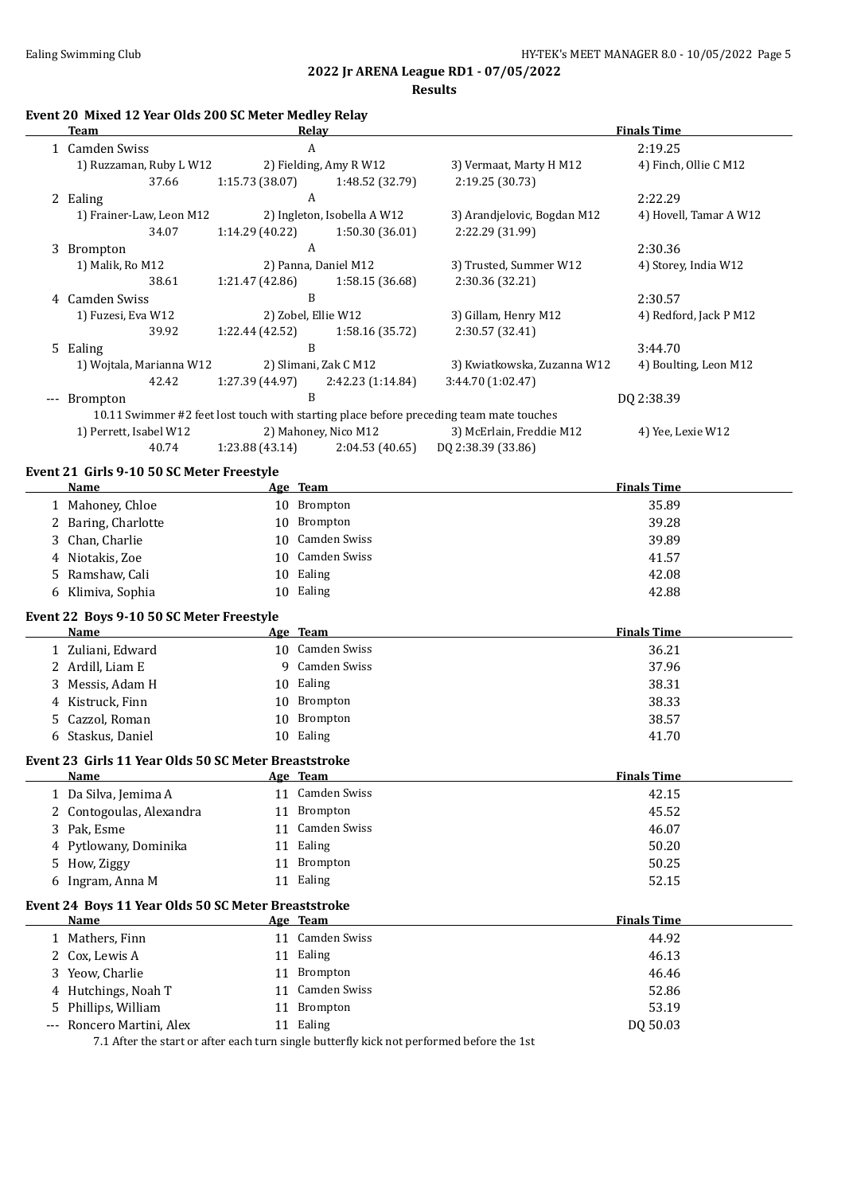### **2022 Jr ARENA League RD1 - 07/05/2022 Results**

|  | Event 20 Mixed 12 Year Olds 200 SC Meter Medley Relay |
|--|-------------------------------------------------------|
|  |                                                       |

|       | Team                     | Relav                                                                                   |                             |                             | <b>Finals Time</b>     |
|-------|--------------------------|-----------------------------------------------------------------------------------------|-----------------------------|-----------------------------|------------------------|
|       | 1 Camden Swiss           | A                                                                                       |                             |                             | 2:19.25                |
|       | 1) Ruzzaman, Ruby L W12  |                                                                                         | 2) Fielding, Amy R W12      | 3) Vermaat, Marty H M12     | 4) Finch, Ollie C M12  |
|       | 37.66                    | 1:15.73(38.07)                                                                          | 1:48.52 (32.79)             | 2:19.25 (30.73)             |                        |
|       | 2 Ealing                 | A                                                                                       |                             |                             | 2:22.29                |
|       | 1) Frainer-Law, Leon M12 |                                                                                         | 2) Ingleton, Isobella A W12 | 3) Arandjelovic, Bogdan M12 | 4) Hovell, Tamar A W12 |
|       | 34.07                    | 1:14.29(40.22)                                                                          | 1:50.30(36.01)              | 2:22.29 (31.99)             |                        |
|       | 3 Brompton               | A                                                                                       |                             |                             | 2:30.36                |
|       | 1) Malik, Ro M12         |                                                                                         | 2) Panna, Daniel M12        | 3) Trusted, Summer W12      | 4) Storey, India W12   |
|       | 38.61                    | 1:21.47(42.86)                                                                          | 1:58.15(36.68)              | 2:30.36 (32.21)             |                        |
|       | 4 Camden Swiss           | B                                                                                       |                             |                             | 2:30.57                |
|       | 1) Fuzesi, Eva W12       | 2) Zobel, Ellie W12                                                                     |                             | 3) Gillam, Henry M12        | 4) Redford, Jack P M12 |
|       | 39.92                    | 1:22.44(42.52)                                                                          | 1:58.16 (35.72)             | 2:30.57 (32.41)             |                        |
|       | 5 Ealing                 | B                                                                                       |                             |                             | 3:44.70                |
|       | 1) Wojtala, Marianna W12 |                                                                                         | 2) Slimani, Zak C M12       | 3) Kwiatkowska, Zuzanna W12 | 4) Boulting, Leon M12  |
|       | 42.42                    | 1:27.39 (44.97)                                                                         | 2:42.23(1:14.84)            | 3:44.70 (1:02.47)           |                        |
| $---$ | <b>Brompton</b>          | B                                                                                       |                             |                             | DQ 2:38.39             |
|       |                          | 10.11 Swimmer #2 feet lost touch with starting place before preceding team mate touches |                             |                             |                        |
|       | 1) Perrett, Isabel W12   |                                                                                         | 2) Mahoney, Nico M12        | 3) McErlain, Freddie M12    | 4) Yee, Lexie W12      |
|       | 40.74                    | 1:23.88(43.14)                                                                          | 2:04.53(40.65)              | DQ 2:38.39 (33.86)          |                        |
|       |                          |                                                                                         |                             |                             |                        |

# **Event 21 Girls 9-10 50 SC Meter Freestyle**

|       | <b>Name</b>                                          |    | Age Team            | <b>Finals Time</b> |
|-------|------------------------------------------------------|----|---------------------|--------------------|
|       | 1 Mahoney, Chloe                                     |    | 10 Brompton         | 35.89              |
| 2     | Baring, Charlotte                                    | 10 | <b>Brompton</b>     | 39.28              |
| 3     | Chan, Charlie                                        | 10 | <b>Camden Swiss</b> | 39.89              |
| 4     | Niotakis, Zoe                                        | 10 | Camden Swiss        | 41.57              |
| 5.    | Ramshaw, Cali                                        | 10 | Ealing              | 42.08              |
|       | 6 Klimiva, Sophia                                    | 10 | Ealing              | 42.88              |
|       | Event 22 Boys 9-10 50 SC Meter Freestyle             |    |                     |                    |
|       | <b>Name</b>                                          |    | Age Team            | <b>Finals Time</b> |
|       | 1 Zuliani, Edward                                    |    | 10 Camden Swiss     | 36.21              |
|       | 2 Ardill, Liam E                                     | 9  | <b>Camden Swiss</b> | 37.96              |
| 3     | Messis, Adam H                                       | 10 | Ealing              | 38.31              |
| 4     | Kistruck, Finn                                       | 10 | <b>Brompton</b>     | 38.33              |
| 5.    | Cazzol, Roman                                        | 10 | Brompton            | 38.57              |
|       | 6 Staskus, Daniel                                    |    | 10 Ealing           | 41.70              |
|       | Event 23 Girls 11 Year Olds 50 SC Meter Breaststroke |    |                     |                    |
|       | <b>Name</b>                                          |    | Age Team            | <b>Finals Time</b> |
|       | 1 Da Silva, Jemima A                                 |    | 11 Camden Swiss     | 42.15              |
|       | 2 Contogoulas, Alexandra                             |    | 11 Brompton         | 45.52              |
|       | 3 Pak, Esme                                          | 11 | <b>Camden Swiss</b> | 46.07              |
|       | 4 Pytlowany, Dominika                                | 11 | Ealing              | 50.20              |
|       | 5 How, Ziggy                                         | 11 | Brompton            | 50.25              |
|       | 6 Ingram, Anna M                                     |    | 11 Ealing           | 52.15              |
|       | Event 24 Boys 11 Year Olds 50 SC Meter Breaststroke  |    |                     |                    |
|       | Name                                                 |    | Age Team            | <b>Finals Time</b> |
|       | 1 Mathers, Finn                                      |    | 11 Camden Swiss     | 44.92              |
| 2.    | Cox, Lewis A                                         |    | 11 Ealing           | 46.13              |
| 3     | Yeow, Charlie                                        | 11 | Brompton            | 46.46              |
|       | Hutchings, Noah T                                    | 11 | <b>Camden Swiss</b> | 52.86              |
| 5.    | Phillips, William                                    | 11 | Brompton            | 53.19              |
| $---$ | Roncero Martini, Alex                                |    | 11 Ealing           | DQ 50.03           |

7.1 After the start or after each turn single butterfly kick not performed before the 1st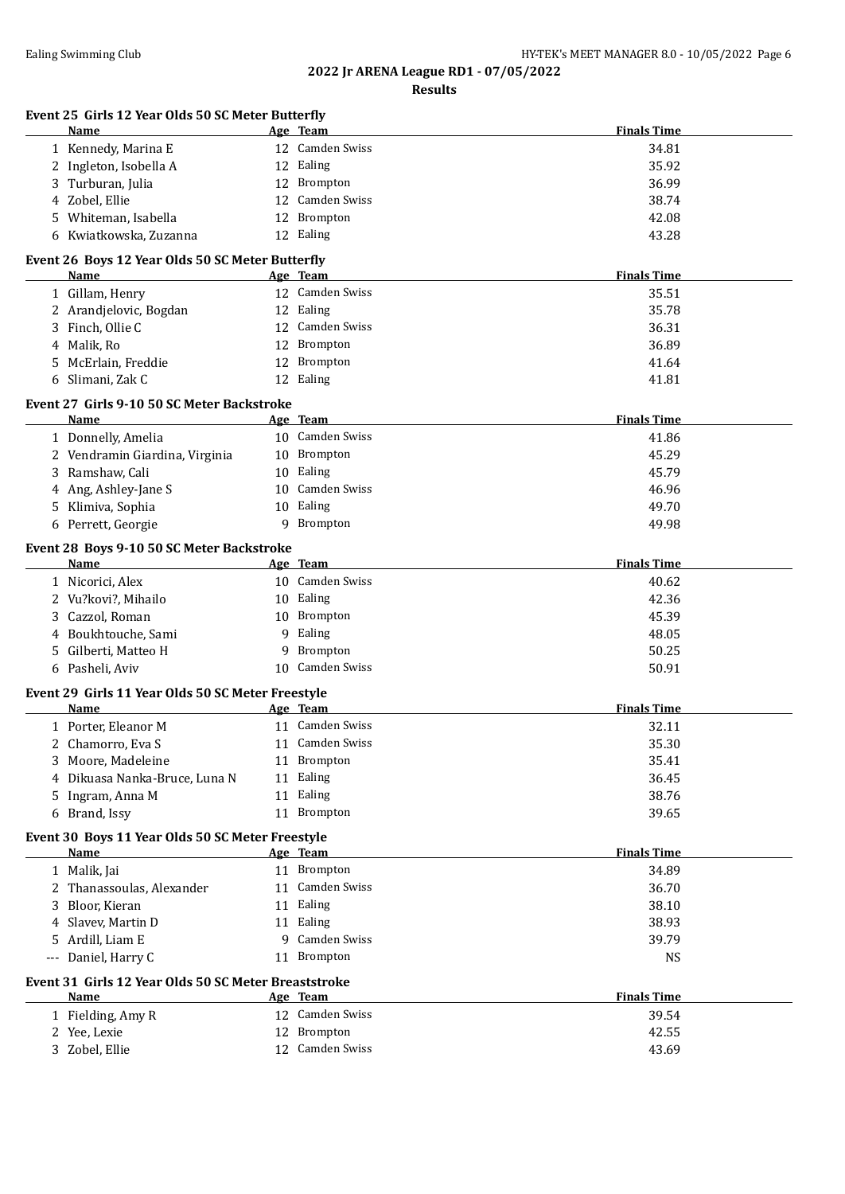# **2022 Jr ARENA League RD1 - 07/05/2022**

**Results**

| Event 25 Girls 12 Year Olds 50 SC Meter Butterfly        |    |                             | <b>Finals Time</b> |
|----------------------------------------------------------|----|-----------------------------|--------------------|
| Name                                                     |    | Age Team<br>12 Camden Swiss |                    |
| 1 Kennedy, Marina E                                      |    |                             | 34.81              |
| 2 Ingleton, Isobella A                                   |    | 12 Ealing                   | 35.92              |
| 3 Turburan, Julia                                        |    | 12 Brompton                 | 36.99              |
| 4 Zobel, Ellie                                           |    | 12 Camden Swiss             | 38.74              |
| 5 Whiteman, Isabella                                     |    | 12 Brompton                 | 42.08              |
| Kwiatkowska, Zuzanna<br>6                                |    | 12 Ealing                   | 43.28              |
| Event 26 Boys 12 Year Olds 50 SC Meter Butterfly<br>Name |    | Age Team                    | <b>Finals Time</b> |
| 1 Gillam, Henry                                          |    | 12 Camden Swiss             | 35.51              |
| 2 Arandjelovic, Bogdan                                   |    | 12 Ealing                   | 35.78              |
| Finch, Ollie C<br>3                                      |    | 12 Camden Swiss             | 36.31              |
| 4 Malik, Ro                                              |    | 12 Brompton                 | 36.89              |
|                                                          |    |                             |                    |
| McErlain, Freddie<br>5                                   |    | 12 Brompton                 | 41.64              |
| Slimani, Zak C<br>6                                      |    | 12 Ealing                   | 41.81              |
| Event 27 Girls 9-10 50 SC Meter Backstroke<br>Name       |    | Age Team                    | <b>Finals Time</b> |
| 1 Donnelly, Amelia                                       |    | 10 Camden Swiss             | 41.86              |
| 2 Vendramin Giardina, Virginia                           | 10 | Brompton                    | 45.29              |
| 3 Ramshaw, Cali                                          | 10 | Ealing                      | 45.79              |
| 4 Ang, Ashley-Jane S                                     | 10 | <b>Camden Swiss</b>         | 46.96              |
| 5 Klimiva, Sophia                                        | 10 | Ealing                      | 49.70              |
| 6 Perrett, Georgie                                       | 9  | Brompton                    | 49.98              |
| Event 28 Boys 9-10 50 SC Meter Backstroke                |    |                             |                    |
| Name                                                     |    | Age Team                    | <b>Finals Time</b> |
| 1 Nicorici, Alex                                         |    | 10 Camden Swiss             | 40.62              |
| 2 Vu?kovi?, Mihailo                                      |    | 10 Ealing                   | 42.36              |
| Cazzol, Roman<br>3                                       | 10 | Brompton                    | 45.39              |
| Boukhtouche, Sami<br>4                                   | 9  | Ealing                      | 48.05              |
| Gilberti, Matteo H<br>5                                  | 9  | Brompton                    | 50.25              |
| 6 Pasheli, Aviv                                          | 10 | Camden Swiss                | 50.91              |
| Event 29 Girls 11 Year Olds 50 SC Meter Freestyle        |    |                             |                    |
| Name                                                     |    | <u>Age Team</u>             | <b>Finals Time</b> |
| 1 Porter, Eleanor M                                      |    | 11 Camden Swiss             | 32.11              |
| 2 Chamorro, Eva S                                        |    | 11 Camden Swiss             | 35.30              |
| Moore, Madeleine<br>3                                    |    | 11 Brompton                 | 35.41              |
| Dikuasa Nanka-Bruce, Luna N<br>4                         |    | 11 Ealing                   | 36.45              |
| Ingram, Anna M<br>5                                      |    | 11 Ealing                   | 38.76              |
| 6 Brand, Issy                                            |    | 11 Brompton                 | 39.65              |
| Event 30 Boys 11 Year Olds 50 SC Meter Freestyle         |    |                             |                    |
| <b>Name</b>                                              |    | Age Team                    | <b>Finals Time</b> |
| 1 Malik, Jai                                             |    | 11 Brompton                 | 34.89              |
| 2 Thanassoulas, Alexander                                | 11 | Camden Swiss                | 36.70              |
| Bloor, Kieran<br>3                                       |    | 11 Ealing                   | 38.10              |
| 4 Slavev, Martin D                                       |    | 11 Ealing                   | 38.93              |
| Ardill, Liam E<br>5.                                     | 9  | Camden Swiss                | 39.79              |
| --- Daniel, Harry C                                      |    | 11 Brompton                 | <b>NS</b>          |
| Event 31 Girls 12 Year Olds 50 SC Meter Breaststroke     |    |                             |                    |
| Name                                                     |    | Age Team                    | <b>Finals Time</b> |
| 1 Fielding, Amy R                                        |    | 12 Camden Swiss             | 39.54              |
| 2 Yee, Lexie                                             |    | 12 Brompton                 | 42.55              |
| 3 Zobel, Ellie                                           |    | 12 Camden Swiss             | 43.69              |
|                                                          |    |                             |                    |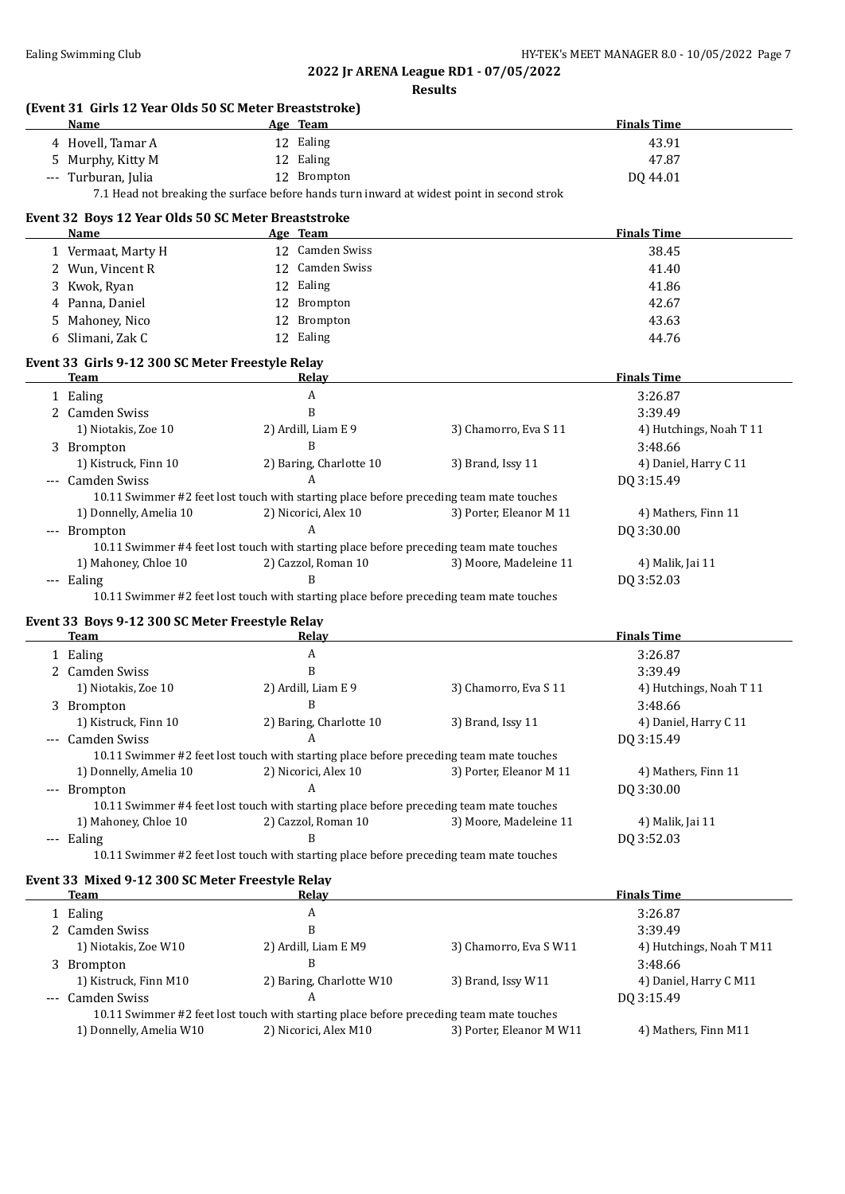## **2022 Jr ARENA League RD1 - 07/05/2022**

| esult |
|-------|
|-------|

|       | Name                                                            | Age Team                      |                                                                                            | <b>Finals Time</b>                   |
|-------|-----------------------------------------------------------------|-------------------------------|--------------------------------------------------------------------------------------------|--------------------------------------|
|       | 4 Hovell, Tamar A                                               | 12 Ealing                     |                                                                                            | 43.91                                |
|       | 5 Murphy, Kitty M                                               | 12 Ealing                     |                                                                                            | 47.87                                |
|       | --- Turburan, Julia                                             | 12 Brompton                   |                                                                                            | DQ 44.01                             |
|       |                                                                 |                               | 7.1 Head not breaking the surface before hands turn inward at widest point in second strok |                                      |
|       | Event 32 Boys 12 Year Olds 50 SC Meter Breaststroke             |                               |                                                                                            |                                      |
|       | Name                                                            | Age Team                      |                                                                                            | <b>Finals Time</b>                   |
|       | 1 Vermaat, Marty H                                              | 12 Camden Swiss               |                                                                                            | 38.45                                |
|       | 2 Wun, Vincent R                                                | 12 Camden Swiss               |                                                                                            | 41.40                                |
|       | 3 Kwok, Ryan                                                    | 12 Ealing                     |                                                                                            | 41.86                                |
|       | 4 Panna, Daniel                                                 | 12 Brompton                   |                                                                                            | 42.67                                |
|       |                                                                 | 12 Brompton                   |                                                                                            | 43.63                                |
|       | 5 Mahoney, Nico                                                 |                               |                                                                                            |                                      |
|       | 6 Slimani, Zak C                                                | 12 Ealing                     |                                                                                            | 44.76                                |
|       | Event 33 Girls 9-12 300 SC Meter Freestyle Relay<br><b>Team</b> | Relay                         |                                                                                            | <b>Finals Time</b>                   |
|       | 1 Ealing                                                        | A                             |                                                                                            | 3:26.87                              |
|       |                                                                 | B                             |                                                                                            |                                      |
|       | 2 Camden Swiss                                                  |                               |                                                                                            | 3:39.49                              |
|       | 1) Niotakis, Zoe 10                                             | 2) Ardill, Liam E 9           | 3) Chamorro, Eva S 11                                                                      | 4) Hutchings, Noah T 11              |
|       | 3 Brompton                                                      | B                             |                                                                                            | 3:48.66                              |
|       | 1) Kistruck, Finn 10                                            | 2) Baring, Charlotte 10       | 3) Brand, Issy 11                                                                          | 4) Daniel, Harry C 11                |
|       | --- Camden Swiss                                                | $\overline{A}$                |                                                                                            | DQ 3:15.49                           |
|       |                                                                 |                               | 10.11 Swimmer #2 feet lost touch with starting place before preceding team mate touches    |                                      |
|       | 1) Donnelly, Amelia 10                                          | 2) Nicorici, Alex 10          | 3) Porter, Eleanor M 11                                                                    | 4) Mathers, Finn 11                  |
|       | --- Brompton                                                    | Α                             |                                                                                            | DQ 3:30.00                           |
|       |                                                                 |                               | 10.11 Swimmer #4 feet lost touch with starting place before preceding team mate touches    |                                      |
|       | 1) Mahoney, Chloe 10                                            | 2) Cazzol, Roman 10           | 3) Moore, Madeleine 11                                                                     | 4) Malik, Jai 11                     |
|       | --- Ealing                                                      | B                             |                                                                                            | DQ 3:52.03                           |
|       |                                                                 |                               | 10.11 Swimmer #2 feet lost touch with starting place before preceding team mate touches    |                                      |
|       | Event 33 Boys 9-12 300 SC Meter Freestyle Relay                 |                               |                                                                                            |                                      |
|       | Team                                                            | <b>Relay</b>                  |                                                                                            | <b>Finals Time</b>                   |
|       | 1 Ealing                                                        | A                             |                                                                                            | 3:26.87                              |
|       | 2 Camden Swiss                                                  | B                             |                                                                                            | 3:39.49                              |
|       | 1) Niotakis, Zoe 10                                             | 2) Ardill, Liam E 9           | 3) Chamorro, Eva S 11                                                                      | 4) Hutchings, Noah T 11              |
|       | 3 Brompton                                                      | B                             |                                                                                            | 3:48.66                              |
|       | 1) Kistruck, Finn 10                                            | 2) Baring, Charlotte 10       | 3) Brand, Issy 11                                                                          | 4) Daniel, Harry C 11                |
|       | --- Camden Swiss                                                | $\overline{A}$                |                                                                                            | DQ 3:15.49                           |
|       |                                                                 |                               | 10.11 Swimmer #2 feet lost touch with starting place before preceding team mate touches    |                                      |
|       | 1) Donnelly, Amelia 10                                          | 2) Nicorici, Alex 10          | 3) Porter, Eleanor M 11                                                                    | 4) Mathers, Finn 11                  |
| $---$ | Brompton                                                        | A                             |                                                                                            | DQ 3:30.00                           |
|       |                                                                 |                               | 10.11 Swimmer #4 feet lost touch with starting place before preceding team mate touches    |                                      |
|       | 1) Mahoney, Chloe 10                                            | 2) Cazzol, Roman 10           | 3) Moore, Madeleine 11                                                                     | 4) Malik, Jai 11                     |
|       |                                                                 | В                             |                                                                                            |                                      |
|       | --- Ealing                                                      |                               | 10.11 Swimmer #2 feet lost touch with starting place before preceding team mate touches    | DQ 3:52.03                           |
|       |                                                                 |                               |                                                                                            |                                      |
|       |                                                                 |                               |                                                                                            |                                      |
|       | Event 33 Mixed 9-12 300 SC Meter Freestyle Relay<br>Team        |                               |                                                                                            |                                      |
|       |                                                                 | <b>Relay</b>                  |                                                                                            | <b>Finals Time</b>                   |
|       | 1 Ealing                                                        | A                             |                                                                                            | 3:26.87                              |
|       | 2 Camden Swiss                                                  | B                             |                                                                                            | 3:39.49                              |
|       | 1) Niotakis, Zoe W10                                            | 2) Ardill, Liam E M9          | 3) Chamorro, Eva S W11                                                                     | 4) Hutchings, Noah T M11             |
|       | 3 Brompton                                                      | B                             |                                                                                            | 3:48.66                              |
| ---   | 1) Kistruck, Finn M10<br>Camden Swiss                           | 2) Baring, Charlotte W10<br>A | 3) Brand, Issy W11                                                                         | 4) Daniel, Harry C M11<br>DQ 3:15.49 |

10.11 Swimmer #2 feet lost touch with starting place before preceding team mate touches 1) Donnelly, Amelia W10 2) Nicorici, Alex M10 3) Porter, Eleanor M W11 4) Mathers, Finn M11